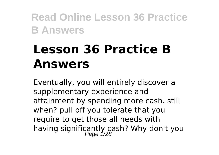# **Lesson 36 Practice B Answers**

Eventually, you will entirely discover a supplementary experience and attainment by spending more cash. still when? pull off you tolerate that you require to get those all needs with having significantly cash? Why don't you<br>Page 1/28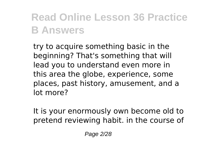try to acquire something basic in the beginning? That's something that will lead you to understand even more in this area the globe, experience, some places, past history, amusement, and a lot more?

It is your enormously own become old to pretend reviewing habit. in the course of

Page 2/28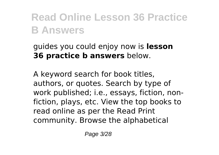#### guides you could enjoy now is **lesson 36 practice b answers** below.

A keyword search for book titles, authors, or quotes. Search by type of work published; i.e., essays, fiction, nonfiction, plays, etc. View the top books to read online as per the Read Print community. Browse the alphabetical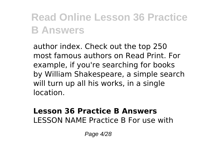author index. Check out the top 250 most famous authors on Read Print. For example, if you're searching for books by William Shakespeare, a simple search will turn up all his works, in a single location.

#### **Lesson 36 Practice B Answers** LESSON NAME Practice B For use with

Page 4/28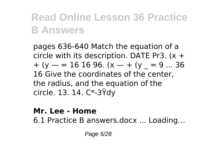pages 636-640 Match the equation of a circle with its description. DATE Pr3. (x +  $+(y - 16 16 96. (x - 4)(y - 9)$  ... 36 16 Give the coordinates of the center, the radius, and the equation of the circle. 13. 14. C\*-3Ÿdy

#### **Mr. Lee - Home**

6.1 Practice B answers.docx ... Loading…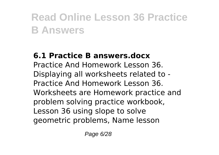### **6.1 Practice B answers.docx**

Practice And Homework Lesson 36. Displaying all worksheets related to - Practice And Homework Lesson 36. Worksheets are Homework practice and problem solving practice workbook, Lesson 36 using slope to solve geometric problems, Name lesson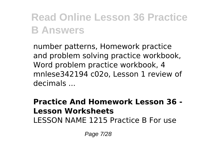number patterns, Homework practice and problem solving practice workbook, Word problem practice workbook, 4 mnlese342194 c02o, Lesson 1 review of decimals ...

#### **Practice And Homework Lesson 36 - Lesson Worksheets** LESSON NAME 1215 Practice B For use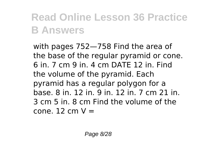with pages 752—758 Find the area of the base of the regular pyramid or cone. 6 in. 7 cm 9 in. 4 cm DATE 12 in. Find the volume of the pyramid. Each pyramid has a regular polygon for a base. 8 in. 12 in. 9 in. 12 in. 7 cm 21 in. 3 cm 5 in. 8 cm Find the volume of the  $cone$ . 12 cm  $V =$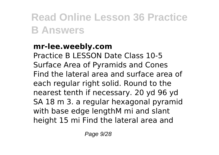### **mr-lee.weebly.com**

Practice B LESSON Date Class 10-5 Surface Area of Pyramids and Cones Find the lateral area and surface area of each regular right solid. Round to the nearest tenth if necessary. 20 yd 96 yd SA 18 m 3. a regular hexagonal pyramid with base edge lengthM mi and slant height 15 mi Find the lateral area and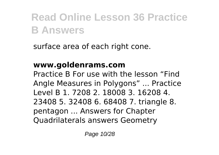surface area of each right cone.

### **www.goldenrams.com**

Practice B For use with the lesson "Find Angle Measures in Polygons" ... Practice Level B 1. 7208 2. 18008 3. 16208 4. 23408 5. 32408 6. 68408 7. triangle 8. pentagon ... Answers for Chapter Quadrilaterals answers Geometry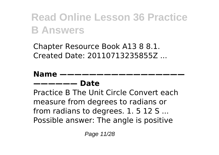Chapter Resource Book A13 8 8.1. Created Date: 20110713235855Z ...

#### **Name —————— Date**

Practice B The Unit Circle Convert each measure from degrees to radians or from radians to degrees. 1. 5 12 S ... Possible answer: The angle is positive

Page 11/28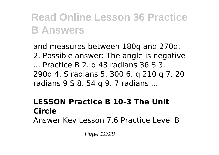and measures between 180q and 270q. 2. Possible answer: The angle is negative ... Practice B 2. q 43 radians 36 S 3. 290q 4. S radians 5. 300 6. q 210 q 7. 20 radians 9 S 8. 54 q 9. 7 radians ...

### **LESSON Practice B 10-3 The Unit Circle**

Answer Key Lesson 7.6 Practice Level B

Page 12/28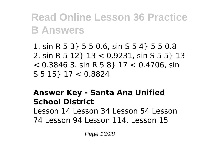1. sin R 5 3} 5 5 0.6, sin S 5 4} 5 5 0.8 2. sin R 5 12} 13 < 0.9231, sin S 5 5} 13  $<$  0.3846 3, sin R 5 8 } 17  $<$  0.4706, sin S 5 15} 17 < 0.8824

#### **Answer Key - Santa Ana Unified School District** Lesson 14 Lesson 34 Lesson 54 Lesson

74 Lesson 94 Lesson 114. Lesson 15

Page 13/28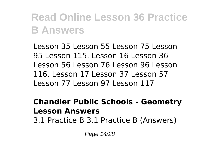Lesson 35 Lesson 55 Lesson 75 Lesson 95 Lesson 115. Lesson 16 Lesson 36 Lesson 56 Lesson 76 Lesson 96 Lesson 116. Lesson 17 Lesson 37 Lesson 57 Lesson 77 Lesson 97 Lesson 117

#### **Chandler Public Schools - Geometry Lesson Answers**

3.1 Practice B 3.1 Practice B (Answers)

Page 14/28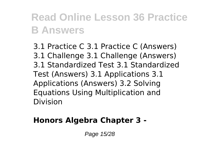3.1 Practice C 3.1 Practice C (Answers) 3.1 Challenge 3.1 Challenge (Answers) 3.1 Standardized Test 3.1 Standardized Test (Answers) 3.1 Applications 3.1 Applications (Answers) 3.2 Solving Equations Using Multiplication and Division

### **Honors Algebra Chapter 3 -**

Page 15/28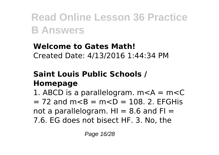#### **Welcome to Gates Math!** Created Date: 4/13/2016 1:44:34 PM

### **Saint Louis Public Schools / Homepage**

1. ABCD is a parallelogram.  $m < A = m < C$  $= 72$  and m $< B = m < D = 108$ . 2. EFGHis not a parallelogram.  $H1 = 8.6$  and  $F1 =$ 7.6. EG does not bisect HF. 3. No, the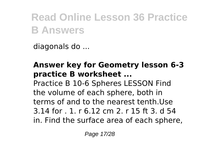diagonals do ...

### **Answer key for Geometry lesson 6-3 practice B worksheet ...**

Practice B 10-6 Spheres LESSON Find the volume of each sphere, both in terms of and to the nearest tenth.Use 3.14 for . 1. r 6.12 cm 2. r 15 ft 3. d 54 in. Find the surface area of each sphere,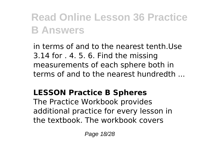in terms of and to the nearest tenth.Use 3.14 for . 4. 5. 6. Find the missing measurements of each sphere both in terms of and to the nearest hundredth ...

### **LESSON Practice B Spheres**

The Practice Workbook provides additional practice for every lesson in the textbook. The workbook covers

Page 18/28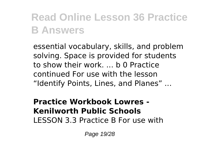essential vocabulary, skills, and problem solving. Space is provided for students to show their work. ... b 0 Practice continued For use with the lesson "Identify Points, Lines, and Planes" ...

#### **Practice Workbook Lowres - Kenilworth Public Schools** LESSON 3.3 Practice B For use with

Page 19/28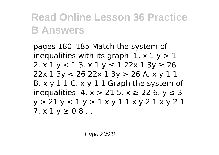pages 180–185 Match the system of inequalities with its graph. 1.  $\times$  1  $\times$  > 1 2.  $x 1 y < 1 3$ .  $x 1 y \le 1 22x 1 3y \ge 26$ 22x 1 3y < 26 22x 1 3y > 26 A. x y 1 1 B.  $x \vee 1 1 C$ .  $x \vee 1 1 G$  raph the system of inequalities.  $4. x > 215. x \ge 226. y \le 3$ y > 21 y < 1 y > 1 x y 1 1 x y 2 1 x y 2 1  $7. x 1 y \ge 0.8 ...$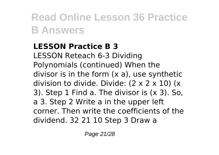### **LESSON Practice B 3**

LESSON Reteach 6-3 Dividing Polynomials (continued) When the divisor is in the form (x a), use synthetic division to divide. Divide: (2 x 2 x 10) (x 3). Step 1 Find a. The divisor is (x 3). So, a 3. Step 2 Write a in the upper left corner. Then write the coefficients of the dividend. 32 21 10 Step 3 Draw a

Page 21/28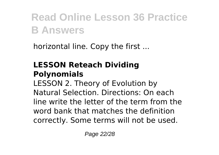horizontal line. Copy the first ...

### **LESSON Reteach Dividing Polynomials**

LESSON 2. Theory of Evolution by Natural Selection. Directions: On each line write the letter of the term from the word bank that matches the definition correctly. Some terms will not be used.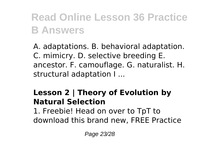A. adaptations. B. behavioral adaptation. C. mimicry. D. selective breeding E. ancestor. F. camouflage. G. naturalist. H. structural adaptation I ...

### **Lesson 2 | Theory of Evolution by Natural Selection**

1. Freebie! Head on over to TpT to download this brand new, FREE Practice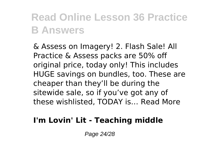& Assess on Imagery! 2. Flash Sale! All Practice & Assess packs are 50% off original price, today only! This includes HUGE savings on bundles, too. These are cheaper than they'll be during the sitewide sale, so if you've got any of these wishlisted, TODAY is… Read More

### **I'm Lovin' Lit - Teaching middle**

Page 24/28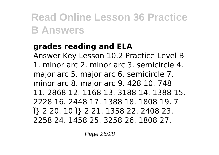#### **grades reading and ELA**

Answer Key Lesson 10.2 Practice Level B 1. minor arc 2. minor arc 3. semicircle 4. major arc 5. major arc 6. semicircle 7. minor arc 8. major arc 9. 428 10. 748 11. 2868 12. 1168 13. 3188 14. 1388 15. 2228 16. 2448 17. 1388 18. 1808 19. 7 Ï} 2 20. 10 Ï} 2 21. 1358 22. 2408 23. 2258 24. 1458 25. 3258 26. 1808 27.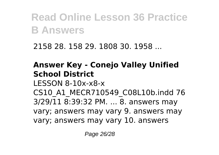2158 28. 158 29. 1808 30. 1958 ...

### **Answer Key - Conejo Valley Unified School District** LESSON 8-10x-x8-x CS10\_A1\_MECR710549\_C08L10b.indd 76

3/29/11 8:39:32 PM. ... 8. answers may vary; answers may vary 9. answers may vary; answers may vary 10. answers

Page 26/28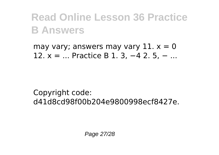may vary; answers may vary  $11. x = 0$ 12. x = ... Practice B 1. 3, −4 2. 5, − ...

Copyright code: d41d8cd98f00b204e9800998ecf8427e.

Page 27/28